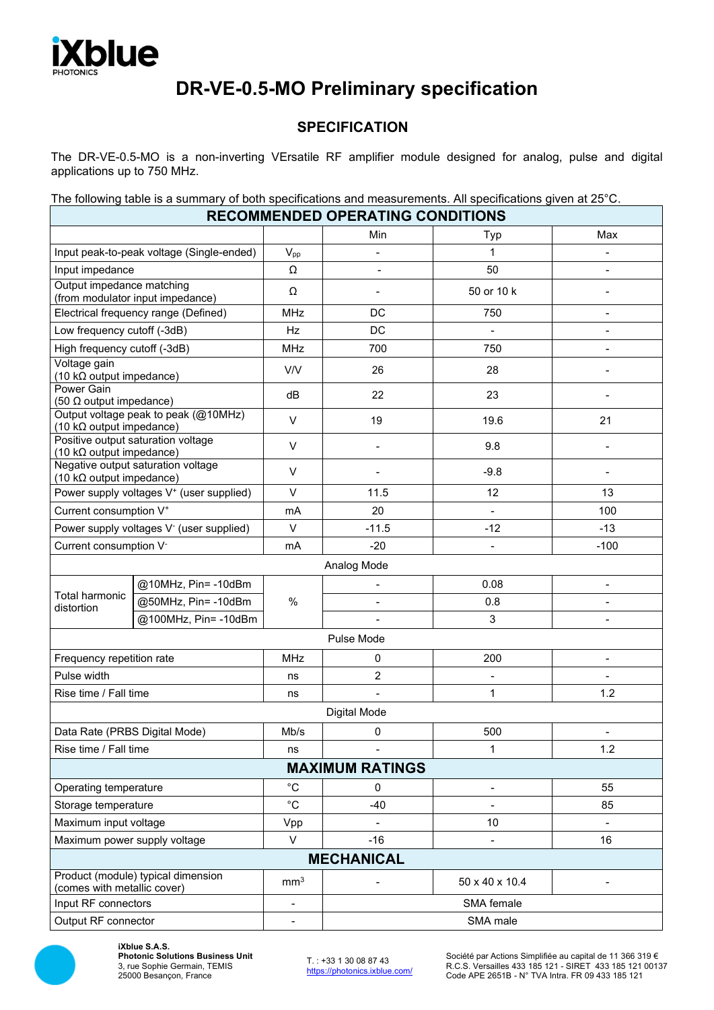

# **DR-VE-0.5-MO Preliminary specification**

## **SPECIFICATION**

The DR-VE-0.5-MO is a non-inverting VErsatile RF amplifier module designed for analog, pulse and digital applications up to 750 MHz.

The following table is a summary of both specifications and measurements. All specifications given at 25°C.

|                                                                          |                      |                 | <b>RECOMMENDED OPERATING CONDITIONS</b> |                          |                |  |  |  |
|--------------------------------------------------------------------------|----------------------|-----------------|-----------------------------------------|--------------------------|----------------|--|--|--|
|                                                                          |                      |                 | Min                                     | Typ                      | Max            |  |  |  |
| Input peak-to-peak voltage (Single-ended)                                |                      | $V_{pp}$        | $\overline{a}$                          | 1                        |                |  |  |  |
| Input impedance                                                          |                      | Ω               |                                         | 50                       |                |  |  |  |
| Output impedance matching                                                |                      | Ω               |                                         | 50 or 10 k               |                |  |  |  |
| (from modulator input impedance)                                         |                      |                 |                                         |                          |                |  |  |  |
| Electrical frequency range (Defined)                                     |                      | <b>MHz</b>      | DC                                      | 750                      |                |  |  |  |
| Low frequency cutoff (-3dB)                                              |                      | Hz              | DC                                      |                          |                |  |  |  |
| High frequency cutoff (-3dB)                                             |                      | <b>MHz</b>      | 700                                     | 750                      |                |  |  |  |
| Voltage gain<br>(10 k $\Omega$ output impedance)                         |                      | V/V             | 26                                      | 28                       |                |  |  |  |
| <b>Power Gain</b><br>(50 $\Omega$ output impedance)                      |                      | dB              | 22                                      | 23                       |                |  |  |  |
| Output voltage peak to peak (@10MHz)<br>(10 k $\Omega$ output impedance) |                      | $\vee$          | 19                                      | 19.6                     | 21             |  |  |  |
| Positive output saturation voltage<br>(10 k $\Omega$ output impedance)   |                      | V               |                                         | 9.8                      |                |  |  |  |
| Negative output saturation voltage<br>(10 k $\Omega$ output impedance)   |                      | $\vee$          |                                         | $-9.8$                   |                |  |  |  |
| Power supply voltages V <sup>+</sup> (user supplied)                     |                      | $\vee$          | 11.5                                    | 12                       | 13             |  |  |  |
| Current consumption V <sup>+</sup>                                       |                      | mA              | 20                                      |                          | 100            |  |  |  |
| Power supply voltages V <sup>-</sup> (user supplied)                     |                      | $\vee$          | $-11.5$                                 | $-12$                    | $-13$          |  |  |  |
| Current consumption V <sup>-</sup>                                       |                      | mA              | $-20$                                   |                          | $-100$         |  |  |  |
|                                                                          |                      |                 | Analog Mode                             |                          |                |  |  |  |
|                                                                          | @10MHz, Pin=-10dBm   |                 | -                                       | 0.08                     | $\blacksquare$ |  |  |  |
| Total harmonic                                                           | @50MHz, Pin= -10dBm  | $\frac{0}{0}$   |                                         | 0.8                      |                |  |  |  |
| distortion                                                               | @100MHz, Pin= -10dBm |                 |                                         | 3                        |                |  |  |  |
|                                                                          |                      |                 | Pulse Mode                              |                          |                |  |  |  |
| Frequency repetition rate                                                |                      | <b>MHz</b>      | 0                                       | 200                      | $\blacksquare$ |  |  |  |
| Pulse width                                                              |                      | ns              | $\overline{c}$                          |                          |                |  |  |  |
| Rise time / Fall time                                                    |                      | ns              | $\overline{a}$                          | 1                        | 1.2            |  |  |  |
|                                                                          |                      |                 | <b>Digital Mode</b>                     |                          |                |  |  |  |
| Data Rate (PRBS Digital Mode)                                            |                      | Mb/s            | 0                                       | 500                      |                |  |  |  |
| Rise time / Fall time                                                    |                      | ns              |                                         | 1                        | 1.2            |  |  |  |
|                                                                          |                      |                 | <b>MAXIMUM RATINGS</b>                  |                          |                |  |  |  |
| Operating temperature                                                    |                      | $^{\circ}C$     | 0                                       | $\overline{\phantom{0}}$ | 55             |  |  |  |
| Storage temperature                                                      |                      | $^{\circ}C$     | $-40$                                   |                          | 85             |  |  |  |
| Maximum input voltage                                                    |                      | Vpp             |                                         | 10                       |                |  |  |  |
| Maximum power supply voltage                                             |                      | $\vee$          | $-16$                                   |                          | 16             |  |  |  |
|                                                                          |                      |                 | <b>MECHANICAL</b>                       |                          |                |  |  |  |
| Product (module) typical dimension<br>(comes with metallic cover)        |                      | mm <sup>3</sup> |                                         | 50 x 40 x 10.4           |                |  |  |  |
| Input RF connectors                                                      |                      |                 |                                         | SMA female               |                |  |  |  |
| Output RF connector                                                      |                      |                 | SMA male                                |                          |                |  |  |  |



**iXblue S.A.S. Photonic Solutions Business Unit** 3, rue Sophie Germain, TEMIS 25000 Besançon, France

T. : +33 1 30 08 87 43 <https://photonics.ixblue.com/> Société par Actions Simplifiée au capital de 11 366 319 € R.C.S. Versailles 433 185 121 - SIRET 433 185 121 00137 Code APE 2651B - N° TVA Intra. FR 09 433 185 121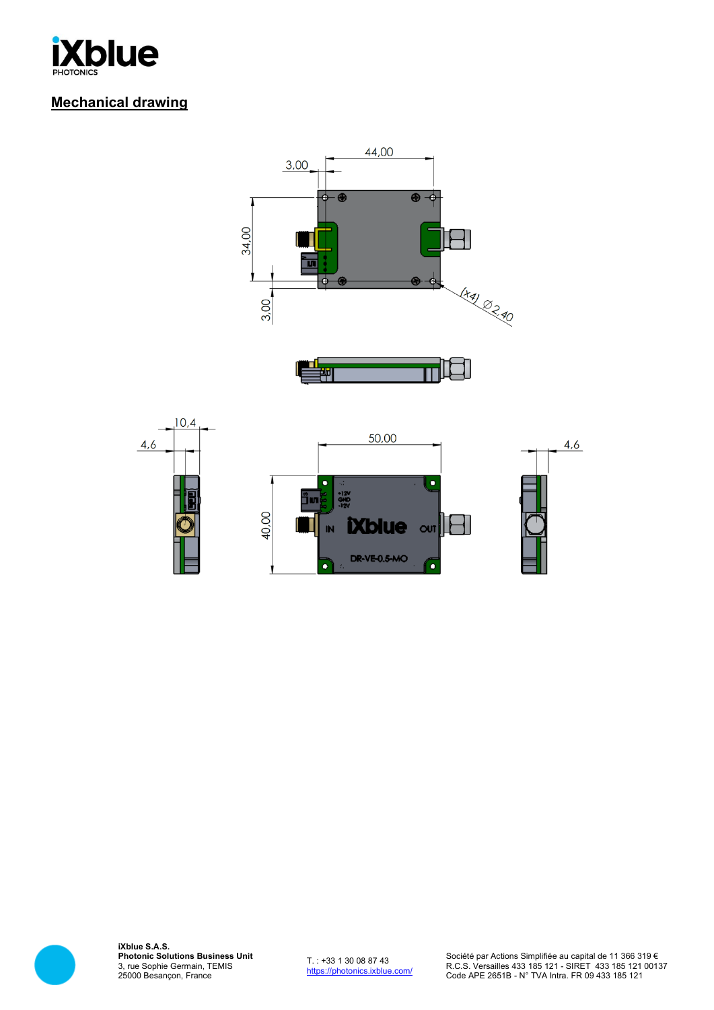

# **Mechanical drawing**







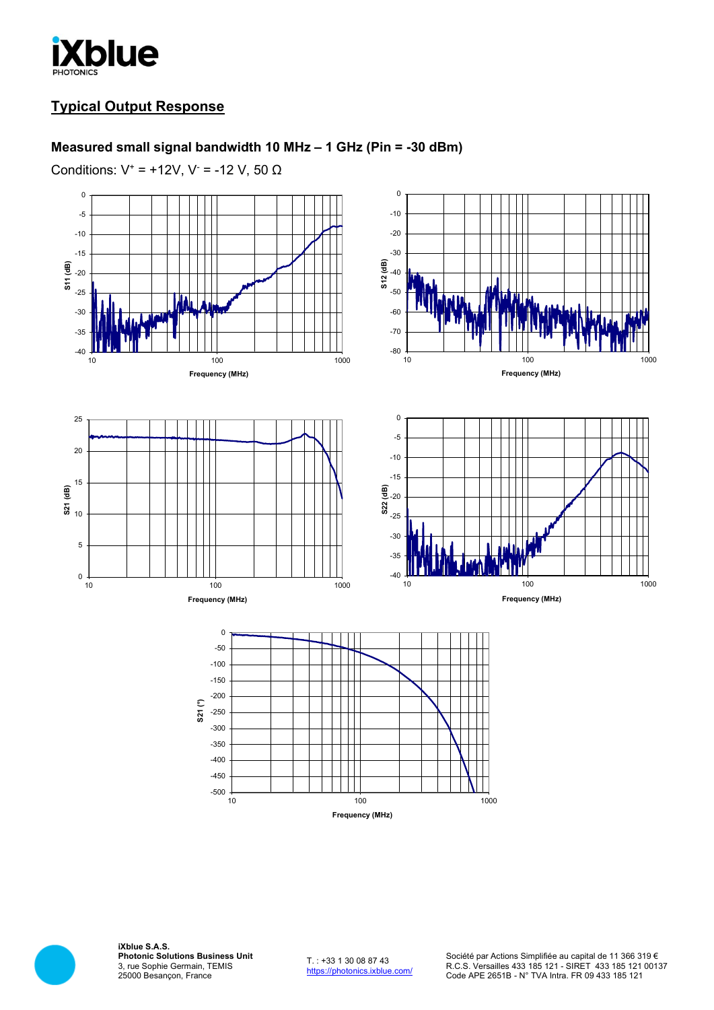

## **Typical Output Response**

#### **Measured small signal bandwidth 10 MHz – 1 GHz (Pin = -30 dBm)**

Conditions:  $V^+$  = +12V, V<sup>-</sup> = -12 V, 50  $\Omega$ 



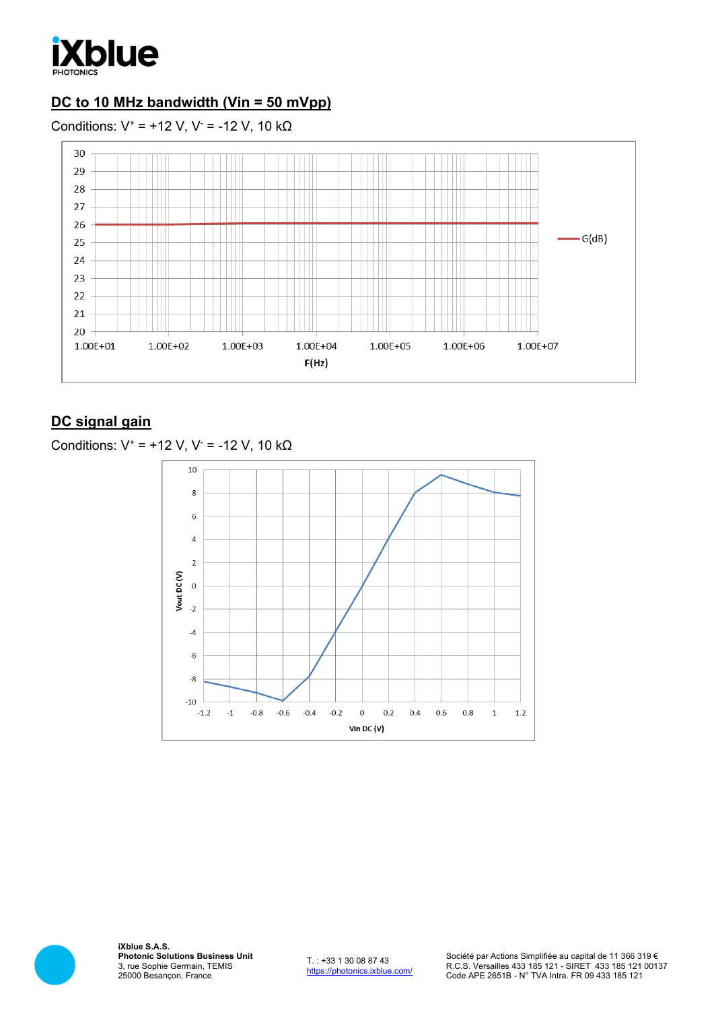

# **DC to 10 MHz bandwidth (Vin = 50 mVpp)**

Conditions:  $V^* = +12$  V, V<sup>-</sup> = -12 V, 10 k $\Omega$ 



# **DC signal gain**

| Conditions: $V^* = +12$ V, $V = -12$ V, 10 kΩ |  |  |  |  |  |  |
|-----------------------------------------------|--|--|--|--|--|--|
|-----------------------------------------------|--|--|--|--|--|--|



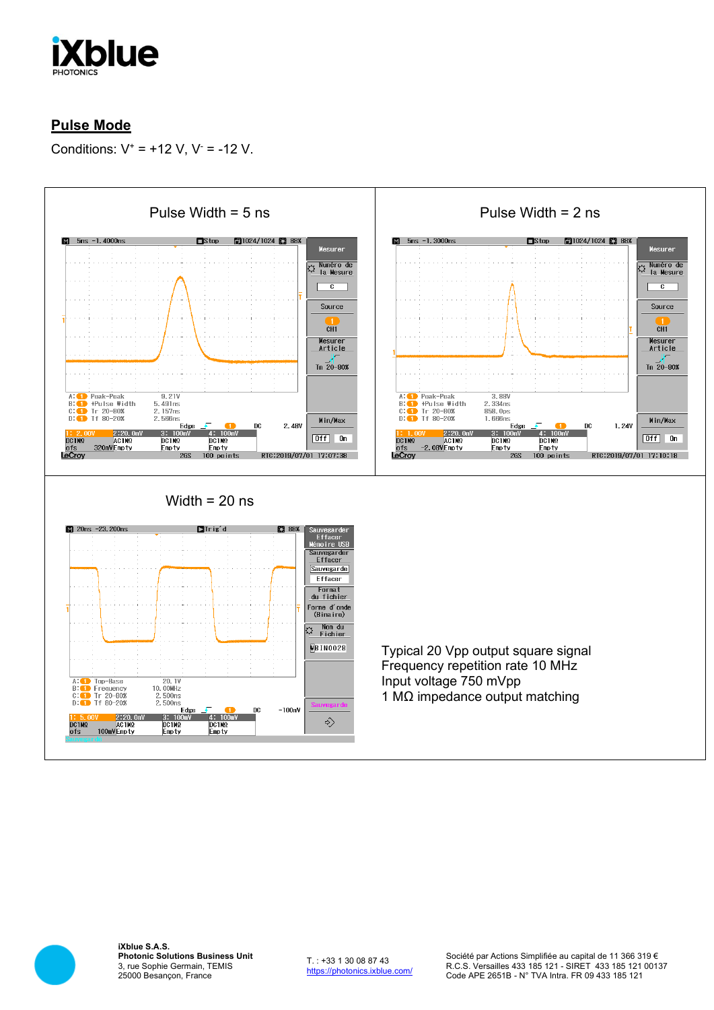

# **Pulse Mode**

Conditions:  $V^+ = +12 V$ ,  $V^- = -12 V$ .